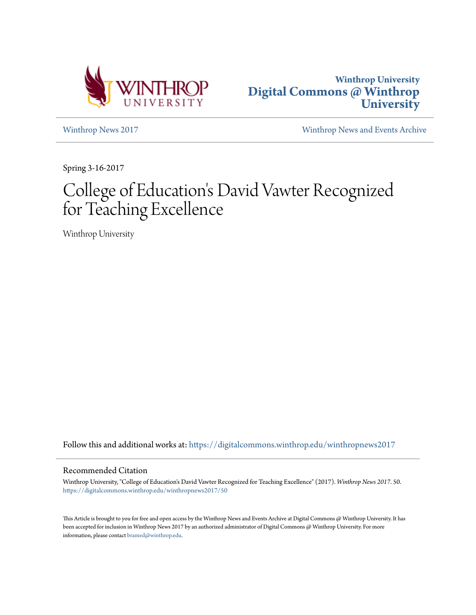



[Winthrop News 2017](https://digitalcommons.winthrop.edu/winthropnews2017?utm_source=digitalcommons.winthrop.edu%2Fwinthropnews2017%2F50&utm_medium=PDF&utm_campaign=PDFCoverPages) [Winthrop News and Events Archive](https://digitalcommons.winthrop.edu/winthropnewsarchives?utm_source=digitalcommons.winthrop.edu%2Fwinthropnews2017%2F50&utm_medium=PDF&utm_campaign=PDFCoverPages)

Spring 3-16-2017

# College of Education's David Vawter Recognized for Teaching Excellence

Winthrop University

Follow this and additional works at: [https://digitalcommons.winthrop.edu/winthropnews2017](https://digitalcommons.winthrop.edu/winthropnews2017?utm_source=digitalcommons.winthrop.edu%2Fwinthropnews2017%2F50&utm_medium=PDF&utm_campaign=PDFCoverPages)

### Recommended Citation

Winthrop University, "College of Education's David Vawter Recognized for Teaching Excellence" (2017). *Winthrop News 2017*. 50. [https://digitalcommons.winthrop.edu/winthropnews2017/50](https://digitalcommons.winthrop.edu/winthropnews2017/50?utm_source=digitalcommons.winthrop.edu%2Fwinthropnews2017%2F50&utm_medium=PDF&utm_campaign=PDFCoverPages)

This Article is brought to you for free and open access by the Winthrop News and Events Archive at Digital Commons @ Winthrop University. It has been accepted for inclusion in Winthrop News 2017 by an authorized administrator of Digital Commons @ Winthrop University. For more information, please contact [bramed@winthrop.edu](mailto:bramed@winthrop.edu).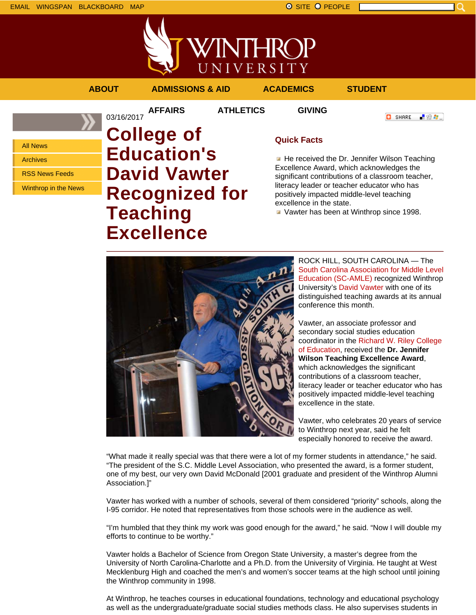



### **ABOUT ADMISSIONS & AID ACADEMICS STUDENT**

03/16/2017

**AFFAIRS ATHLETICS GIVING**

**O** SHARE ■金々。

All News

Archives

RSS News Feeds

Winthrop in the News

## **College of Education's David Vawter Recognized for Teaching Excellence**

## **Quick Facts**

He received the Dr. Jennifer Wilson Teaching Excellence Award, which acknowledges the significant contributions of a classroom teacher, literacy leader or teacher educator who has positively impacted middle-level teaching excellence in the state.

**Vawter has been at Winthrop since 1998.** 



ROCK HILL, SOUTH CAROLINA — The South Carolina Association for Middle Level Education (SC-AMLE) recognized Winthrop University's David Vawter with one of its distinguished teaching awards at its annual conference this month.

Vawter, an associate professor and secondary social studies education coordinator in the Richard W. Riley College of Education, received the **Dr. Jennifer Wilson Teaching Excellence Award**, which acknowledges the significant contributions of a classroom teacher, literacy leader or teacher educator who has positively impacted middle-level teaching excellence in the state.

Vawter, who celebrates 20 years of service to Winthrop next year, said he felt especially honored to receive the award.

"What made it really special was that there were a lot of my former students in attendance," he said. "The president of the S.C. Middle Level Association, who presented the award, is a former student, one of my best, our very own David McDonald [2001 graduate and president of the Winthrop Alumni Association.]"

Vawter has worked with a number of schools, several of them considered "priority" schools, along the I-95 corridor. He noted that representatives from those schools were in the audience as well.

"I'm humbled that they think my work was good enough for the award," he said. "Now I will double my efforts to continue to be worthy."

Vawter holds a Bachelor of Science from Oregon State University, a master's degree from the University of North Carolina-Charlotte and a Ph.D. from the University of Virginia. He taught at West Mecklenburg High and coached the men's and women's soccer teams at the high school until joining the Winthrop community in 1998.

At Winthrop, he teaches courses in educational foundations, technology and educational psychology as well as the undergraduate/graduate social studies methods class. He also supervises students in